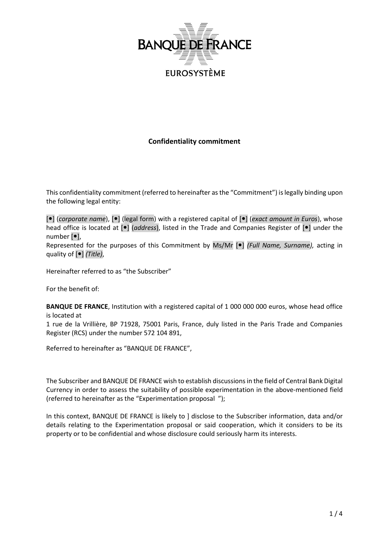

# **Confidentiality commitment**

This confidentiality commitment (referred to hereinafter as the "Commitment") is legally binding upon the following legal entity:

[ $\bullet$ ] (*corporate name*),  $\bullet$ ] (legal form) with a registered capital of  $\bullet$ ] (*exact amount in Euros*), whose head office is located at  $[\bullet]$  (*address*), listed in the Trade and Companies Register of  $[\bullet]$  under the number  $[•]$ ,

Represented for the purposes of this Commitment by Ms/Mr [ $\bullet$ ] *(Full Name, Surname)*, acting in quality of  $[•]$  *(Title)*,

Hereinafter referred to as "the Subscriber"

For the benefit of:

**BANQUE DE FRANCE**, Institution with a registered capital of 1 000 000 000 euros, whose head office is located at

1 rue de la Vrillière, BP 71928, 75001 Paris, France, duly listed in the Paris Trade and Companies Register (RCS) under the number 572 104 891,

Referred to hereinafter as "BANQUE DE FRANCE",

The Subscriber and BANQUE DE FRANCE wish to establish discussionsin the field of Central Bank Digital Currency in order to assess the suitability of possible experimentation in the above-mentioned field (referred to hereinafter as the "Experimentation proposal ");

In this context, BANQUE DE FRANCE is likely to ] disclose to the Subscriber information, data and/or details relating to the Experimentation proposal or said cooperation, which it considers to be its property or to be confidential and whose disclosure could seriously harm its interests.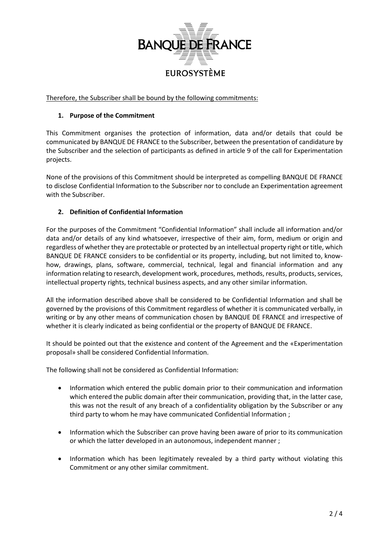

Therefore, the Subscriber shall be bound by the following commitments:

## **1. Purpose of the Commitment**

This Commitment organises the protection of information, data and/or details that could be communicated by BANQUE DE FRANCE to the Subscriber, between the presentation of candidature by the Subscriber and the selection of participants as defined in article 9 of the call for Experimentation projects.

None of the provisions of this Commitment should be interpreted as compelling BANQUE DE FRANCE to disclose Confidential Information to the Subscriber nor to conclude an Experimentation agreement with the Subscriber.

# **2. Definition of Confidential Information**

For the purposes of the Commitment "Confidential Information" shall include all information and/or data and/or details of any kind whatsoever, irrespective of their aim, form, medium or origin and regardless of whether they are protectable or protected by an intellectual property right or title, which BANQUE DE FRANCE considers to be confidential or its property, including, but not limited to, knowhow, drawings, plans, software, commercial, technical, legal and financial information and any information relating to research, development work, procedures, methods, results, products, services, intellectual property rights, technical business aspects, and any other similar information.

All the information described above shall be considered to be Confidential Information and shall be governed by the provisions of this Commitment regardless of whether it is communicated verbally, in writing or by any other means of communication chosen by BANQUE DE FRANCE and irrespective of whether it is clearly indicated as being confidential or the property of BANQUE DE FRANCE.

It should be pointed out that the existence and content of the Agreement and the «Experimentation proposal» shall be considered Confidential Information.

The following shall not be considered as Confidential Information:

- Information which entered the public domain prior to their communication and information which entered the public domain after their communication, providing that, in the latter case, this was not the result of any breach of a confidentiality obligation by the Subscriber or any third party to whom he may have communicated Confidential Information ;
- Information which the Subscriber can prove having been aware of prior to its communication or which the latter developed in an autonomous, independent manner ;
- Information which has been legitimately revealed by a third party without violating this Commitment or any other similar commitment.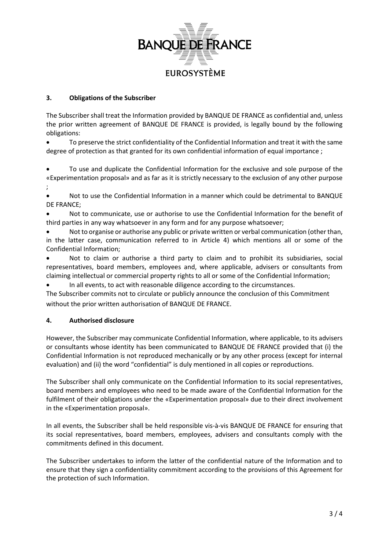

## **3. Obligations of the Subscriber**

The Subscriber shall treat the Information provided by BANQUE DE FRANCE as confidential and, unless the prior written agreement of BANQUE DE FRANCE is provided, is legally bound by the following obligations:

 To preserve the strict confidentiality of the Confidential Information and treat it with the same degree of protection as that granted for its own confidential information of equal importance ;

 To use and duplicate the Confidential Information for the exclusive and sole purpose of the «Experimentation proposal» and as far as it is strictly necessary to the exclusion of any other purpose ;

 Not to use the Confidential Information in a manner which could be detrimental to BANQUE DE FRANCE;

- Not to communicate, use or authorise to use the Confidential Information for the benefit of third parties in any way whatsoever in any form and for any purpose whatsoever;
- Not to organise or authorise any public or private written or verbal communication (other than, in the latter case, communication referred to in Article 4) which mentions all or some of the Confidential Information;

 Not to claim or authorise a third party to claim and to prohibit its subsidiaries, social representatives, board members, employees and, where applicable, advisers or consultants from claiming intellectual or commercial property rights to all or some of the Confidential Information;

In all events, to act with reasonable diligence according to the circumstances.

The Subscriber commits not to circulate or publicly announce the conclusion of this Commitment without the prior written authorisation of BANQUE DE FRANCE.

## **4. Authorised disclosure**

However, the Subscriber may communicate Confidential Information, where applicable, to its advisers or consultants whose identity has been communicated to BANQUE DE FRANCE provided that (i) the Confidential Information is not reproduced mechanically or by any other process (except for internal evaluation) and (ii) the word "confidential" is duly mentioned in all copies or reproductions.

The Subscriber shall only communicate on the Confidential Information to its social representatives, board members and employees who need to be made aware of the Confidential Information for the fulfilment of their obligations under the «Experimentation proposal» due to their direct involvement in the «Experimentation proposal».

In all events, the Subscriber shall be held responsible vis-à-vis BANQUE DE FRANCE for ensuring that its social representatives, board members, employees, advisers and consultants comply with the commitments defined in this document.

The Subscriber undertakes to inform the latter of the confidential nature of the Information and to ensure that they sign a confidentiality commitment according to the provisions of this Agreement for the protection of such Information.